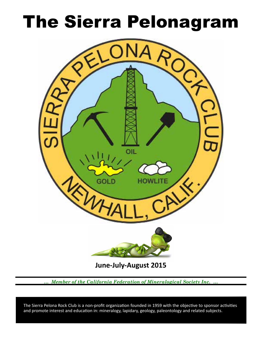# **The Sierra Pelonagram**



**June-July-August 2015** 

Member of the California Federation of Mineralogical Society Inc.

The Sierra Pelona Rock Club is a non-profit organization founded in 1959 with the objective to sponsor activities and promote interest and education in: mineralogy, lapidary, geology, paleontology and related subjects.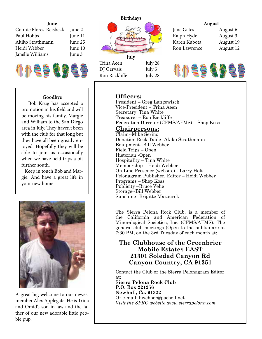#### **June**

| Connie Flores-Reisbeck June 2 |         |  |
|-------------------------------|---------|--|
| Paul Hobbs                    | June 11 |  |
| Akiko Strathmann              | June 25 |  |
| Heidi Webber                  | June 10 |  |
| Janelle Williams              | June 3  |  |

111294629



Trina Aeen July 28 DJ Gervais July 5 Ron Rackliffe July 28 Ralph Hyde August 3 Karen Kubota August 19 Ron Lawrence August 12

# **August** Jane Gates **August 6**



### **Goodbye**

 Bob Krug has accepted a promotion in his feld and will be moving his family, Margie and William to the San Diego area in July. They haven't been with the club for that long but they have all been greatly enjoyed. Hopefully they will be able to join us occasionally when we have feld trips a bit further south.

 Keep in touch Bob and Margie. And have a great life in your new home.



A great big welcome to our newest member Alex Applegate. He is Trina and Omid's son-in-law and the father of our new adorable little pebble pup.

# **Officers:**

President – Greg Langewisch Vice-President – Trina Aeen Secretary: Tina White Treasurer – Ron Rackliffe Federation Director (CFMS/AFMS) – Shep Koss

# <u>**Chairpersons:**</u>

Claim--Mike Serino Donation Rock Table--Akiko Strathmann Equipment--Bill Webber Field Trips – Open Historian -Open Hospitality – Tina White Membership – Heidi Webber On-Line Presence (website)-- Larry Holt Pelonagram Publisher, Editor – Heidi Webber Programs – Shep Koss Publicity –Bruce Velie Storage--Bill Webber Sunshine--Brigitte Mazourek

The Sierra Pelona Rock Club, is a member of the California and American Federation of Mineralogical Societies, Inc. (CFMS/AFMS). The general club meetings (Open to the public) are at 7:30 PM, on the 3rd Tuesday of each month at:

# **The Clubhouse of the Greenbrier Mobile Estates EAST 21301 Soledad Canyon Rd** Canyon Country, CA 91351

Contact the Club or the Sierra Pelonagram Editor at:

**Sierra Pelona Rock Club P.O.** Box 221256 **Newhall, Ca. 91322** Or e-mail: hwebber@pacbell.net *Visit the SPRC website www.sierrapelona.com*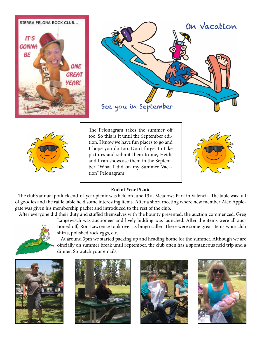





The Pelonagram takes the summer off too. So this is it until the September edition. I know we have fun places to go and I hope you do too. Don't forget to take pictures and submit them to me, Heidi, and I can showcase them in the September "What I did on my Summer Vacation" Pelonagram!



## **End of Year Picnic**

The club's annual potluck end-of-year picnic was held on June 13 at Meadows Park in Valencia. The table was full of goodies and the raffle table held some interesting items. After a short meeting where new member Alex Applegate was given his membership packet and introduced to the rest of the club.

Afer everyone did their duty and stufed themselves with the bounty presented, the auction commenced. Greg



Langewisch was auctioneer and lively bidding was launched. Afer the items were all auctioned off, Ron Lawrence took over as bingo caller. There were some great items won: club shirts, polished rock eggs, etc.

 At around 3pm we started packing up and heading home for the summer. Although we are officially on summer break until September, the club often has a spontaneous field trip and a dinner. So watch your emails.







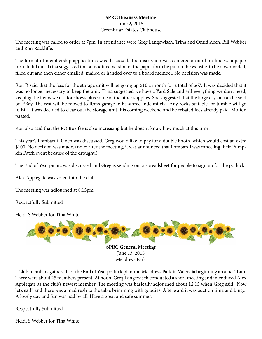### **SPRC Business Meeting** June 2, 2015

# Greenbriar Estates Clubhouse

The meeting was called to order at 7pm. In attendance were Greg Langewisch, Trina and Omid Aeen, Bill Webber and Ron Racklife.

The format of membership applications was discussed. The discussion was centered around on-line vs. a paper form to fll out. Trina suggested that a modifed version of the paper form be put on the website to be downloaded, flled out and then either emailed, mailed or handed over to a board member. No decision was made.

Ron R said that the fees for the storage unit will be going up \$10 a month for a total of \$67. It was decided that it was no longer necessary to keep the unit. Trina suggested we have a Yard Sale and sell everything we don't need, keeping the items we use for shows plus some of the other supplies. She suggested that the large crystal can be sold on EBay. The rest will be moved to Ron's garage to be stored indefinitely. Any rocks suitable for tumble will go to Bill. It was decided to clear out the storage unit this coming weekend and be rebated fees already paid. Motion passed.

Ron also said that the PO Box fee is also increasing but he doesn't know how much at this time.

This year's Lombardi Ranch was discussed. Greg would like to pay for a double booth, which would cost an extra \$100. No decision was made. (note: after the meeting, it was announced that Lombardi was canceling their Pumpkin Patch event because of the drought.)

The End of Year picnic was discussed and Greg is sending out a spreadsheet for people to sign up for the potluck.

Alex Applegate was voted into the club.

The meeting was adjourned at 8:15pm

Respectfully Submitted

Heidi S Webber for Tina White



 Club members gathered for the End of Year potluck picnic at Meadows Park in Valencia beginning around 11am. There were about 25 members present. At noon, Greg Langewisch conducted a short meeting and introduced Alex Applegate as the club's newest member. The meeting was basically adjourned about 12:15 when Greg said "Now let's eat!" and there was a mad rush to the table brimming with goodies. Afterward it was auction time and bingo. A lovely day and fun was had by all. Have a great and safe summer.

Respectfully Submitted

Heidi S Webber for Tina White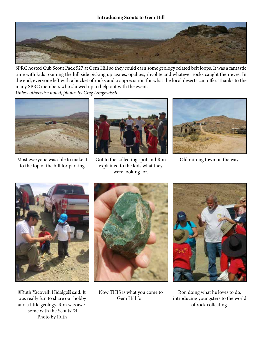

SPRC hosted Cub Scout Pack 527 at Gem Hill so they could earn some geology related belt loops. It was a fantastic time with kids roaming the hill side picking up agates, opalites, rhyolite and whatever rocks caught their eyes. In the end, everyone left with a bucket of rocks and a appreciation for what the local deserts can offer. Thanks to the many SPRC members who showed up to help out with the event.

Unless otherwise noted, photos by Greg Langewisch



Most everyone was able to make it to the top of the hill for parking



Got to the collecting spot and Ron explained to the kids what they were looking for.



Old mining town on the way.



Ruth Yacovelli Hidalgo said: It was really fun to share our hobby and a little geology. Ron was awesome with the Scouts!! Photo by Ruth



Now THIS is what you come to Gem Hill for!



Ron doing what he loves to do, introducing youngsters to the world of rock collecting.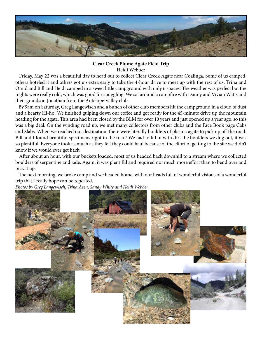

### **Clear Creek Plume Agate Field Trip** Heidi Webber

 Friday, May 22 was a beautiful day to head out to collect Clear Creek Agate near Coalinga. Some of us camped, others hoteled it and others got up extra early to take the 4-hour drive to meet up with the rest of us. Trina and Omid and Bill and Heidi camped in a sweet little campground with only 6 spaces. The weather was perfect but the nights were really cold, which was good for snuggling. We sat around a campfre with Danny and Vivian Watts and their grandson Jonathan from the Antelope Valley club.

 By 9am on Saturday, Greg Langewisch and a bunch of other club members hit the campground in a cloud of dust and a hearty Hi-ho! We finished gulping down our coffee and got ready for the 45-minute drive up the mountain heading for the agate. This area had been closed by the BLM for over 10 years and just opened up a year ago, so this was a big deal. On the winding road up, we met many collectors from other clubs and the Face Book page Cabs and Slabs. When we reached our destination, there were literally boulders of plasma agate to pick up off the road. Bill and I found beautiful specimens right in the road! We had to fll in with dirt the boulders we dug out, it was so plentiful. Everyone took as much as they felt they could haul because of the effort of getting to the site we didn't know if we would ever get back.

 Afer about an hour, with our buckets loaded, most of us headed back downhill to a stream where we collected boulders of serpentine and jade. Again, it was plentiful and required not much more effort than to bend over and pick it up.

The next morning, we broke camp and we headed home, with our heads full of wonderful visions of a wonderful trip that I really hope can be repeated.

Photos by Greg Langewisch, Trina Aeen, Sandy White and Heidi Webber.